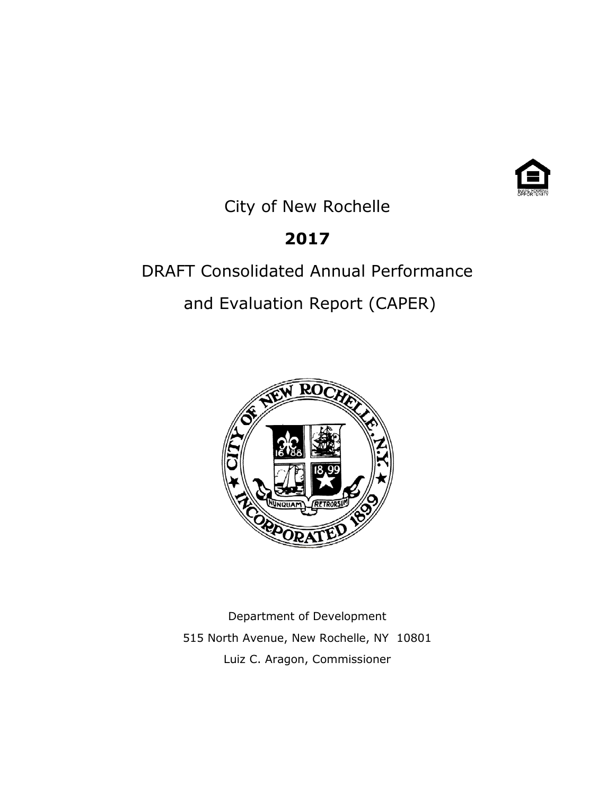

City of New Rochelle

# **2017**

# DRAFT Consolidated Annual Performance

and Evaluation Report (CAPER)



Department of Development 515 North Avenue, New Rochelle, NY 10801 Luiz C. Aragon, Commissioner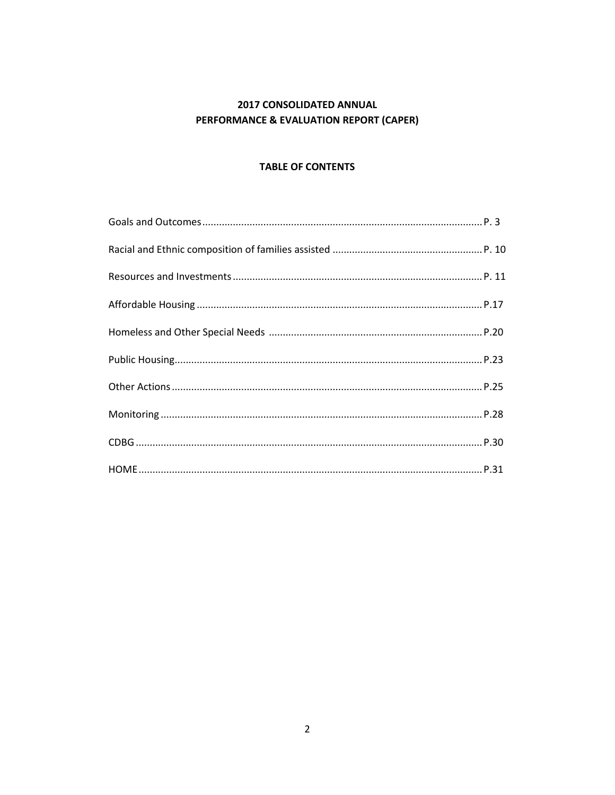### 2017 CONSOLIDATED ANNUAL PERFORMANCE & EVALUATION REPORT (CAPER)

#### **TABLE OF CONTENTS**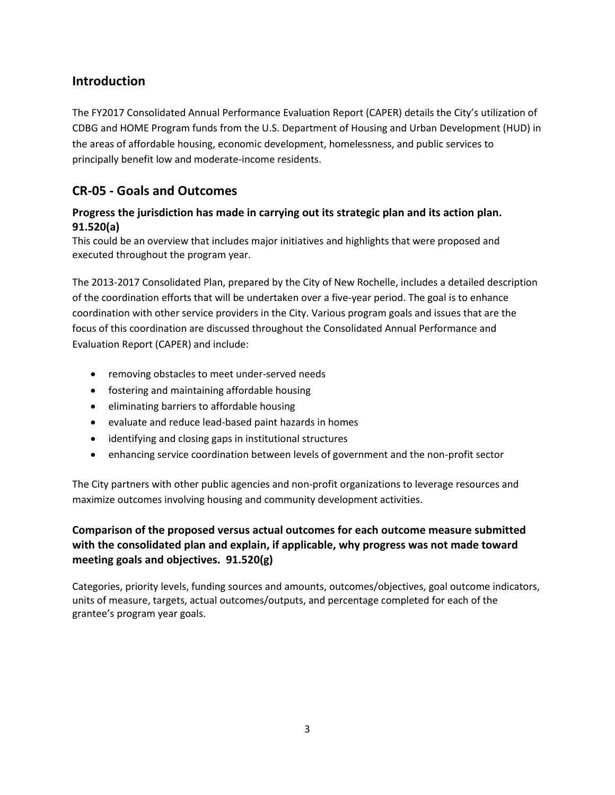# **Introduction**

The FY2017 Consolidated Annual Performance Evaluation Report (CAPER) details the City's utilization of CDBG and HOME Program funds from the U.S. Department of Housing and Urban Development (HUD) in the areas of affordable housing, economic development, homelessness, and public services to principally benefit low and moderate-income residents.

# **CR-05 - Goals and Outcomes**

### **Progress the jurisdiction has made in carrying out its strategic plan and its action plan. 91.520(a)**

This could be an overview that includes major initiatives and highlights that were proposed and executed throughout the program year.

The 2013-2017 Consolidated Plan, prepared by the City of New Rochelle, includes a detailed description of the coordination efforts that will be undertaken over a five-year period. The goal is to enhance coordination with other service providers in the City. Various program goals and issues that are the focus of this coordination are discussed throughout the Consolidated Annual Performance and Evaluation Report (CAPER) and include:

- removing obstacles to meet under-served needs
- fostering and maintaining affordable housing
- eliminating barriers to affordable housing
- evaluate and reduce lead-based paint hazards in homes
- identifying and closing gaps in institutional structures
- enhancing service coordination between levels of government and the non-profit sector

The City partners with other public agencies and non-profit organizations to leverage resources and maximize outcomes involving housing and community development activities.

### **Comparison of the proposed versus actual outcomes for each outcome measure submitted with the consolidated plan and explain, if applicable, why progress was not made toward meeting goals and objectives. 91.520(g)**

Categories, priority levels, funding sources and amounts, outcomes/objectives, goal outcome indicators, units of measure, targets, actual outcomes/outputs, and percentage completed for each of the grantee's program year goals.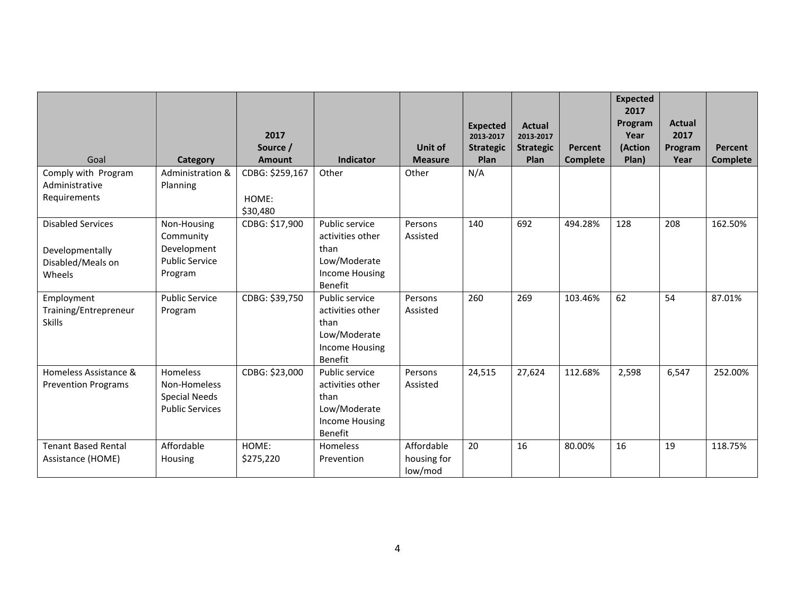|                            |                                      | 2017            |                           |                | <b>Expected</b><br>2013-2017 | <b>Actual</b><br>2013-2017 |                 | <b>Expected</b><br>2017<br>Program<br>Year | <b>Actual</b><br>2017 |                 |
|----------------------------|--------------------------------------|-----------------|---------------------------|----------------|------------------------------|----------------------------|-----------------|--------------------------------------------|-----------------------|-----------------|
|                            |                                      | Source /        |                           | Unit of        | <b>Strategic</b>             | <b>Strategic</b>           | Percent         | (Action                                    | Program               | Percent         |
| Goal                       | Category                             | <b>Amount</b>   | <b>Indicator</b>          | <b>Measure</b> | Plan                         | Plan                       | <b>Complete</b> | Plan)                                      | Year                  | <b>Complete</b> |
| Comply with Program        | Administration &                     | CDBG: \$259,167 | Other                     | Other          | N/A                          |                            |                 |                                            |                       |                 |
| Administrative             | Planning                             |                 |                           |                |                              |                            |                 |                                            |                       |                 |
| Requirements               |                                      | HOME:           |                           |                |                              |                            |                 |                                            |                       |                 |
|                            |                                      | \$30,480        |                           |                |                              |                            |                 |                                            |                       |                 |
| <b>Disabled Services</b>   | Non-Housing                          | CDBG: \$17,900  | Public service            | Persons        | 140                          | 692                        | 494.28%         | 128                                        | 208                   | 162.50%         |
|                            | Community                            |                 | activities other          | Assisted       |                              |                            |                 |                                            |                       |                 |
| Developmentally            | Development                          |                 | than                      |                |                              |                            |                 |                                            |                       |                 |
| Disabled/Meals on          | <b>Public Service</b>                |                 | Low/Moderate              |                |                              |                            |                 |                                            |                       |                 |
| Wheels                     | Program                              |                 | <b>Income Housing</b>     |                |                              |                            |                 |                                            |                       |                 |
|                            |                                      |                 | <b>Benefit</b>            |                |                              |                            |                 |                                            |                       |                 |
| Employment                 | <b>Public Service</b>                | CDBG: \$39,750  | Public service            | Persons        | 260                          | 269                        | 103.46%         | 62                                         | 54                    | 87.01%          |
| Training/Entrepreneur      | Program                              |                 | activities other          | Assisted       |                              |                            |                 |                                            |                       |                 |
| <b>Skills</b>              |                                      |                 | than                      |                |                              |                            |                 |                                            |                       |                 |
|                            |                                      |                 | Low/Moderate              |                |                              |                            |                 |                                            |                       |                 |
|                            |                                      |                 | <b>Income Housing</b>     |                |                              |                            |                 |                                            |                       |                 |
|                            |                                      |                 | Benefit                   |                |                              |                            |                 |                                            |                       |                 |
| Homeless Assistance &      | Homeless                             | CDBG: \$23,000  | Public service            | Persons        | 24,515                       | 27,624                     | 112.68%         | 2,598                                      | 6,547                 | 252.00%         |
| <b>Prevention Programs</b> | Non-Homeless<br><b>Special Needs</b> |                 | activities other<br>than  | Assisted       |                              |                            |                 |                                            |                       |                 |
|                            | <b>Public Services</b>               |                 | Low/Moderate              |                |                              |                            |                 |                                            |                       |                 |
|                            |                                      |                 |                           |                |                              |                            |                 |                                            |                       |                 |
|                            |                                      |                 | Income Housing<br>Benefit |                |                              |                            |                 |                                            |                       |                 |
| <b>Tenant Based Rental</b> | Affordable                           | HOME:           | <b>Homeless</b>           | Affordable     | 20                           | 16                         | 80.00%          | 16                                         | 19                    | 118.75%         |
| Assistance (HOME)          | Housing                              | \$275,220       | Prevention                | housing for    |                              |                            |                 |                                            |                       |                 |
|                            |                                      |                 |                           | low/mod        |                              |                            |                 |                                            |                       |                 |
|                            |                                      |                 |                           |                |                              |                            |                 |                                            |                       |                 |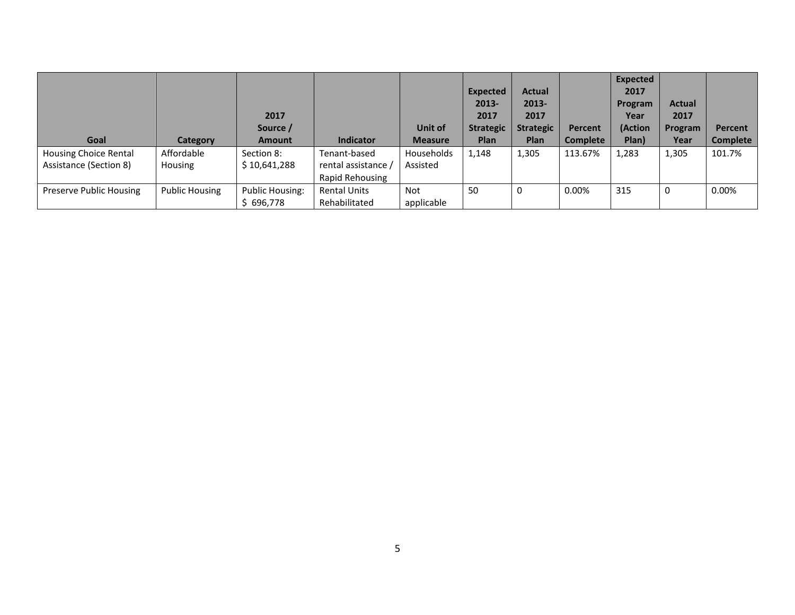|                         |                | 2017<br>Source /       |                     | <b>Unit of</b> | <b>Expected</b><br>2013-<br>2017<br><b>Strategic</b> | <b>Actual</b><br>2013-<br>2017<br><b>Strategic</b> | Percent         | <b>Expected</b><br>2017<br>Program<br>Year<br>(Action | <b>Actual</b><br>2017<br>Program | <b>Percent</b> |
|-------------------------|----------------|------------------------|---------------------|----------------|------------------------------------------------------|----------------------------------------------------|-----------------|-------------------------------------------------------|----------------------------------|----------------|
| Goal                    | Category       | <b>Amount</b>          | <b>Indicator</b>    | <b>Measure</b> | Plan                                                 | <b>Plan</b>                                        | <b>Complete</b> | Plan)                                                 | Year                             | Complete       |
| Housing Choice Rental   | Affordable     | Section 8:             | Tenant-based        | Households     | 1,148                                                | 1,305                                              | 113.67%         | 1,283                                                 | 1,305                            | 101.7%         |
| Assistance (Section 8)  | Housing        | \$10,641,288           | rental assistance / | Assisted       |                                                      |                                                    |                 |                                                       |                                  |                |
|                         |                |                        | Rapid Rehousing     |                |                                                      |                                                    |                 |                                                       |                                  |                |
| Preserve Public Housing | Public Housing | <b>Public Housing:</b> | <b>Rental Units</b> | Not            | 50                                                   | 0                                                  | 0.00%           | 315                                                   | 0                                | 0.00%          |
|                         |                | \$696,778              | Rehabilitated       | applicable     |                                                      |                                                    |                 |                                                       |                                  |                |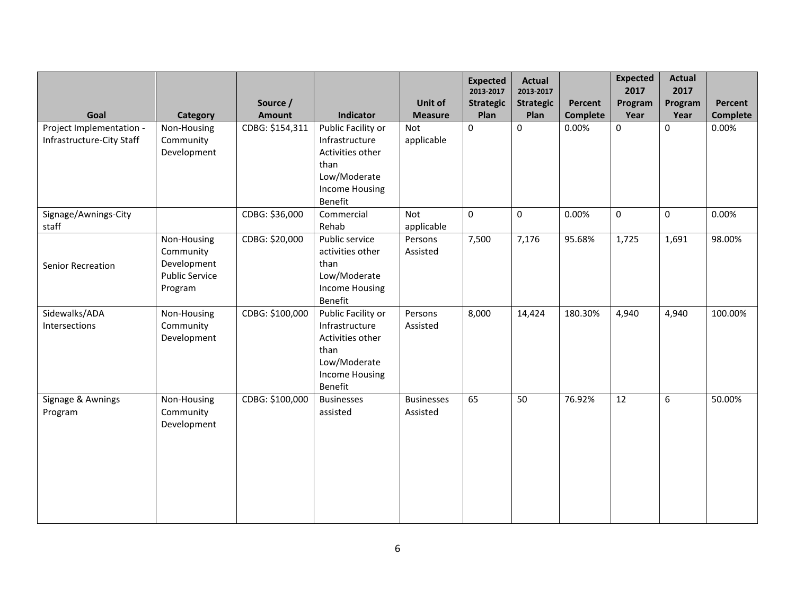| Goal                                                  |                                                                             | Source /<br><b>Amount</b> | Indicator                                                                                                            | Unit of                             | <b>Expected</b><br>2013-2017<br><b>Strategic</b><br>Plan | <b>Actual</b><br>2013-2017<br><b>Strategic</b><br>Plan | Percent                  | <b>Expected</b><br>2017<br>Program | <b>Actual</b><br>2017<br>Program | Percent<br><b>Complete</b> |
|-------------------------------------------------------|-----------------------------------------------------------------------------|---------------------------|----------------------------------------------------------------------------------------------------------------------|-------------------------------------|----------------------------------------------------------|--------------------------------------------------------|--------------------------|------------------------------------|----------------------------------|----------------------------|
| Project Implementation -<br>Infrastructure-City Staff | Category<br>Non-Housing<br>Community<br>Development                         | CDBG: \$154,311           | Public Facility or<br>Infrastructure<br>Activities other<br>than<br>Low/Moderate<br><b>Income Housing</b><br>Benefit | <b>Measure</b><br>Not<br>applicable | $\Omega$                                                 | 0                                                      | <b>Complete</b><br>0.00% | Year<br>0                          | Year<br>$\Omega$                 | 0.00%                      |
| Signage/Awnings-City<br>staff                         |                                                                             | CDBG: \$36,000            | Commercial<br>Rehab                                                                                                  | Not<br>applicable                   | 0                                                        | $\pmb{0}$                                              | 0.00%                    | $\mathbf 0$                        | $\mathbf 0$                      | 0.00%                      |
| Senior Recreation                                     | Non-Housing<br>Community<br>Development<br><b>Public Service</b><br>Program | CDBG: \$20,000            | Public service<br>activities other<br>than<br>Low/Moderate<br><b>Income Housing</b><br>Benefit                       | Persons<br>Assisted                 | 7,500                                                    | 7,176                                                  | 95.68%                   | 1,725                              | 1,691                            | 98.00%                     |
| Sidewalks/ADA<br>Intersections                        | Non-Housing<br>Community<br>Development                                     | CDBG: \$100,000           | Public Facility or<br>Infrastructure<br>Activities other<br>than<br>Low/Moderate<br><b>Income Housing</b><br>Benefit | Persons<br>Assisted                 | 8,000                                                    | 14,424                                                 | 180.30%                  | 4,940                              | 4,940                            | 100.00%                    |
| Signage & Awnings<br>Program                          | Non-Housing<br>Community<br>Development                                     | CDBG: \$100,000           | <b>Businesses</b><br>assisted                                                                                        | <b>Businesses</b><br>Assisted       | 65                                                       | 50                                                     | 76.92%                   | 12                                 | 6                                | 50.00%                     |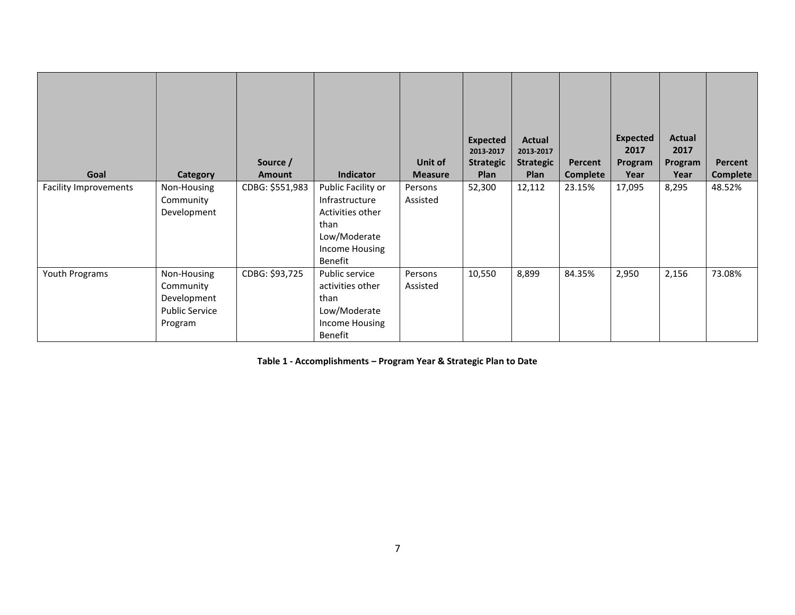| Goal                         | Category                                                                    | Source /<br><b>Amount</b> | <b>Indicator</b>                                                                                              | Unit of<br><b>Measure</b> | <b>Expected</b><br>2013-2017<br><b>Strategic</b><br>Plan | <b>Actual</b><br>2013-2017<br><b>Strategic</b><br>Plan | Percent<br>Complete | <b>Expected</b><br>2017<br>Program<br>Year | Actual<br>2017<br>Program<br>Year | Percent<br>Complete |
|------------------------------|-----------------------------------------------------------------------------|---------------------------|---------------------------------------------------------------------------------------------------------------|---------------------------|----------------------------------------------------------|--------------------------------------------------------|---------------------|--------------------------------------------|-----------------------------------|---------------------|
| <b>Facility Improvements</b> | Non-Housing<br>Community<br>Development                                     | CDBG: \$551,983           | Public Facility or<br>Infrastructure<br>Activities other<br>than<br>Low/Moderate<br>Income Housing<br>Benefit | Persons<br>Assisted       | 52,300                                                   | 12,112                                                 | 23.15%              | 17,095                                     | 8,295                             | 48.52%              |
| Youth Programs               | Non-Housing<br>Community<br>Development<br><b>Public Service</b><br>Program | CDBG: \$93,725            | Public service<br>activities other<br>than<br>Low/Moderate<br>Income Housing<br>Benefit                       | Persons<br>Assisted       | 10,550                                                   | 8,899                                                  | 84.35%              | 2,950                                      | 2,156                             | 73.08%              |

**Table 1 - Accomplishments – Program Year & Strategic Plan to Date**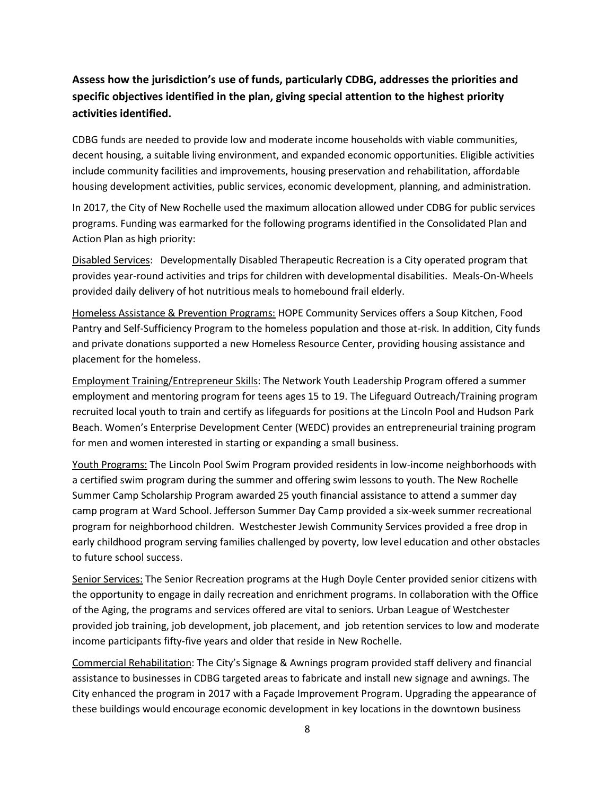# **Assess how the jurisdiction's use of funds, particularly CDBG, addresses the priorities and specific objectives identified in the plan, giving special attention to the highest priority activities identified.**

CDBG funds are needed to provide low and moderate income households with viable communities, decent housing, a suitable living environment, and expanded economic opportunities. Eligible activities include community facilities and improvements, housing preservation and rehabilitation, affordable housing development activities, public services, economic development, planning, and administration.

In 2017, the City of New Rochelle used the maximum allocation allowed under CDBG for public services programs. Funding was earmarked for the following programs identified in the Consolidated Plan and Action Plan as high priority:

Disabled Services: Developmentally Disabled Therapeutic Recreation is a City operated program that provides year-round activities and trips for children with developmental disabilities. Meals-On-Wheels provided daily delivery of hot nutritious meals to homebound frail elderly.

Homeless Assistance & Prevention Programs: HOPE Community Services offers a Soup Kitchen, Food Pantry and Self-Sufficiency Program to the homeless population and those at-risk. In addition, City funds and private donations supported a new Homeless Resource Center, providing housing assistance and placement for the homeless.

Employment Training/Entrepreneur Skills: The Network Youth Leadership Program offered a summer employment and mentoring program for teens ages 15 to 19. The Lifeguard Outreach/Training program recruited local youth to train and certify as lifeguards for positions at the Lincoln Pool and Hudson Park Beach. Women's Enterprise Development Center (WEDC) provides an entrepreneurial training program for men and women interested in starting or expanding a small business.

Youth Programs: The Lincoln Pool Swim Program provided residents in low-income neighborhoods with a certified swim program during the summer and offering swim lessons to youth. The New Rochelle Summer Camp Scholarship Program awarded 25 youth financial assistance to attend a summer day camp program at Ward School. Jefferson Summer Day Camp provided a six-week summer recreational program for neighborhood children. Westchester Jewish Community Services provided a free drop in early childhood program serving families challenged by poverty, low level education and other obstacles to future school success.

Senior Services: The Senior Recreation programs at the Hugh Doyle Center provided senior citizens with the opportunity to engage in daily recreation and enrichment programs. In collaboration with the Office of the Aging, the programs and services offered are vital to seniors. Urban League of Westchester provided job training, job development, job placement, and job retention services to low and moderate income participants fifty-five years and older that reside in New Rochelle.

Commercial Rehabilitation: The City's Signage & Awnings program provided staff delivery and financial assistance to businesses in CDBG targeted areas to fabricate and install new signage and awnings. The City enhanced the program in 2017 with a Façade Improvement Program. Upgrading the appearance of these buildings would encourage economic development in key locations in the downtown business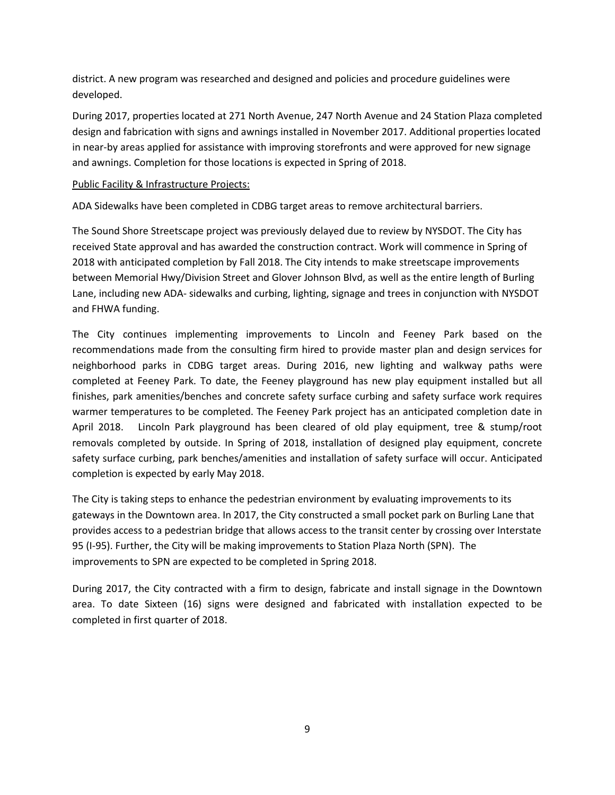district. A new program was researched and designed and policies and procedure guidelines were developed.

During 2017, properties located at 271 North Avenue, 247 North Avenue and 24 Station Plaza completed design and fabrication with signs and awnings installed in November 2017. Additional properties located in near-by areas applied for assistance with improving storefronts and were approved for new signage and awnings. Completion for those locations is expected in Spring of 2018.

#### Public Facility & Infrastructure Projects:

ADA Sidewalks have been completed in CDBG target areas to remove architectural barriers.

The Sound Shore Streetscape project was previously delayed due to review by NYSDOT. The City has received State approval and has awarded the construction contract. Work will commence in Spring of 2018 with anticipated completion by Fall 2018. The City intends to make streetscape improvements between Memorial Hwy/Division Street and Glover Johnson Blvd, as well as the entire length of Burling Lane, including new ADA- sidewalks and curbing, lighting, signage and trees in conjunction with NYSDOT and FHWA funding.

The City continues implementing improvements to Lincoln and Feeney Park based on the recommendations made from the consulting firm hired to provide master plan and design services for neighborhood parks in CDBG target areas. During 2016, new lighting and walkway paths were completed at Feeney Park. To date, the Feeney playground has new play equipment installed but all finishes, park amenities/benches and concrete safety surface curbing and safety surface work requires warmer temperatures to be completed. The Feeney Park project has an anticipated completion date in April 2018. Lincoln Park playground has been cleared of old play equipment, tree & stump/root removals completed by outside. In Spring of 2018, installation of designed play equipment, concrete safety surface curbing, park benches/amenities and installation of safety surface will occur. Anticipated completion is expected by early May 2018.

The City is taking steps to enhance the pedestrian environment by evaluating improvements to its gateways in the Downtown area. In 2017, the City constructed a small pocket park on Burling Lane that provides access to a pedestrian bridge that allows access to the transit center by crossing over Interstate 95 (I-95). Further, the City will be making improvements to Station Plaza North (SPN). The improvements to SPN are expected to be completed in Spring 2018.

During 2017, the City contracted with a firm to design, fabricate and install signage in the Downtown area. To date Sixteen (16) signs were designed and fabricated with installation expected to be completed in first quarter of 2018.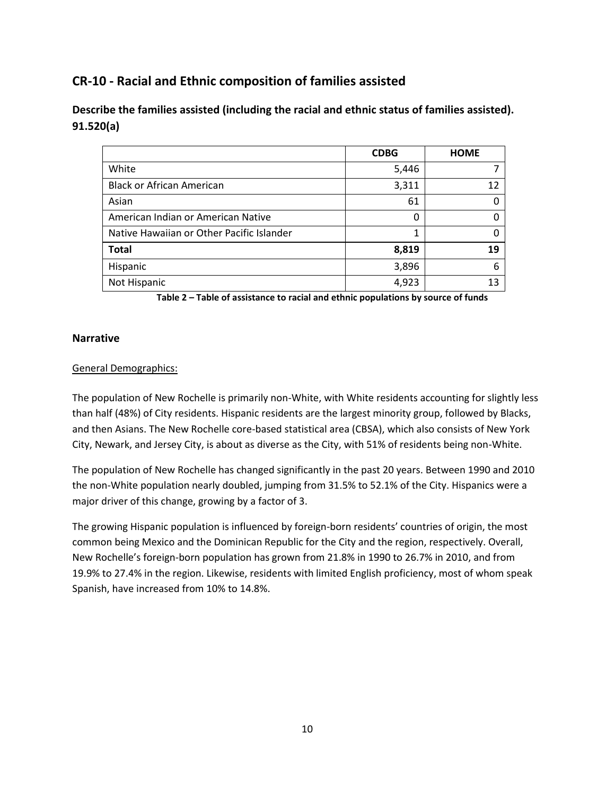# **CR-10 - Racial and Ethnic composition of families assisted**

### **Describe the families assisted (including the racial and ethnic status of families assisted). 91.520(a)**

|                                           | <b>CDBG</b> | <b>HOME</b> |
|-------------------------------------------|-------------|-------------|
| White                                     | 5,446       |             |
| <b>Black or African American</b>          | 3,311       | 12          |
| Asian                                     | 61          | 0           |
| American Indian or American Native        | 0           | O           |
| Native Hawaiian or Other Pacific Islander | 1           | O           |
| <b>Total</b>                              | 8,819       | 19          |
| Hispanic                                  | 3,896       | 6           |
| Not Hispanic                              | 4,923       | 13          |

**Table 2 – Table of assistance to racial and ethnic populations by source of funds**

#### **Narrative**

#### General Demographics:

The population of New Rochelle is primarily non-White, with White residents accounting for slightly less than half (48%) of City residents. Hispanic residents are the largest minority group, followed by Blacks, and then Asians. The New Rochelle core-based statistical area (CBSA), which also consists of New York City, Newark, and Jersey City, is about as diverse as the City, with 51% of residents being non-White.

The population of New Rochelle has changed significantly in the past 20 years. Between 1990 and 2010 the non-White population nearly doubled, jumping from 31.5% to 52.1% of the City. Hispanics were a major driver of this change, growing by a factor of 3.

The growing Hispanic population is influenced by foreign-born residents' countries of origin, the most common being Mexico and the Dominican Republic for the City and the region, respectively. Overall, New Rochelle's foreign-born population has grown from 21.8% in 1990 to 26.7% in 2010, and from 19.9% to 27.4% in the region. Likewise, residents with limited English proficiency, most of whom speak Spanish, have increased from 10% to 14.8%.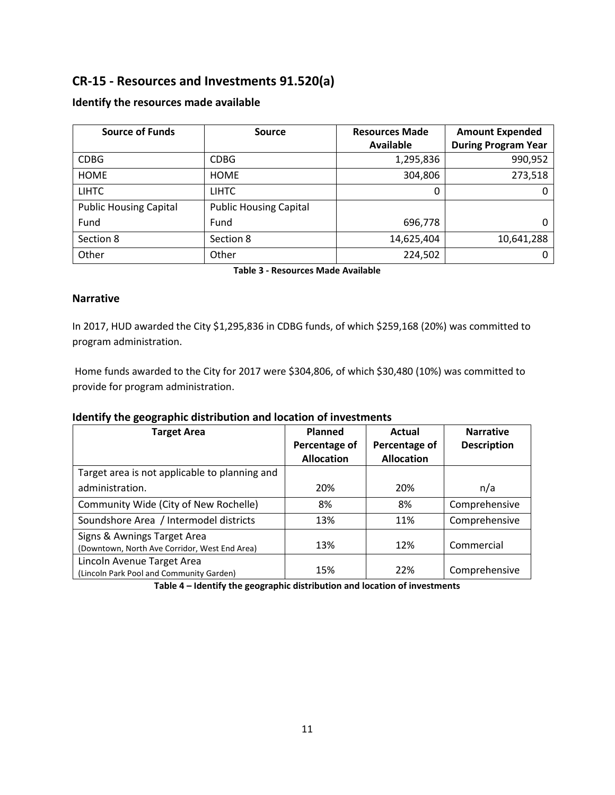# **CR-15 - Resources and Investments 91.520(a)**

| <b>Source of Funds</b>        | <b>Source</b>                 | <b>Resources Made</b> | <b>Amount Expended</b>     |  |
|-------------------------------|-------------------------------|-----------------------|----------------------------|--|
|                               |                               | <b>Available</b>      | <b>During Program Year</b> |  |
| <b>CDBG</b>                   | <b>CDBG</b>                   | 1,295,836             | 990,952                    |  |
| <b>HOME</b>                   | <b>HOME</b>                   | 304,806               | 273,518                    |  |
| <b>LIHTC</b>                  | <b>LIHTC</b>                  | 0                     | 0                          |  |
| <b>Public Housing Capital</b> | <b>Public Housing Capital</b> |                       |                            |  |
| Fund                          | Fund                          | 696,778               | 0                          |  |
| Section 8                     | Section 8                     | 14,625,404            | 10,641,288                 |  |
| Other                         | Other                         | 224,502               |                            |  |

#### **Identify the resources made available**

**Table 3 - Resources Made Available**

#### **Narrative**

In 2017, HUD awarded the City \$1,295,836 in CDBG funds, of which \$259,168 (20%) was committed to program administration.

Home funds awarded to the City for 2017 were \$304,806, of which \$30,480 (10%) was committed to provide for program administration.

#### **Identify the geographic distribution and location of investments**

| <b>Target Area</b>                                                           | Planned<br>Percentage of<br><b>Allocation</b> | Actual<br>Percentage of<br><b>Allocation</b> | <b>Narrative</b><br><b>Description</b> |
|------------------------------------------------------------------------------|-----------------------------------------------|----------------------------------------------|----------------------------------------|
| Target area is not applicable to planning and                                |                                               |                                              |                                        |
| administration.                                                              | 20%                                           | 20%                                          | n/a                                    |
| Community Wide (City of New Rochelle)                                        | 8%                                            | 8%                                           | Comprehensive                          |
| Soundshore Area / Intermodel districts                                       | 13%                                           | 11%                                          | Comprehensive                          |
| Signs & Awnings Target Area<br>(Downtown, North Ave Corridor, West End Area) | 13%                                           | 12%                                          | Commercial                             |
| Lincoln Avenue Target Area<br>(Lincoln Park Pool and Community Garden)       | 15%                                           | 22%                                          | Comprehensive                          |

**Table 4 – Identify the geographic distribution and location of investments**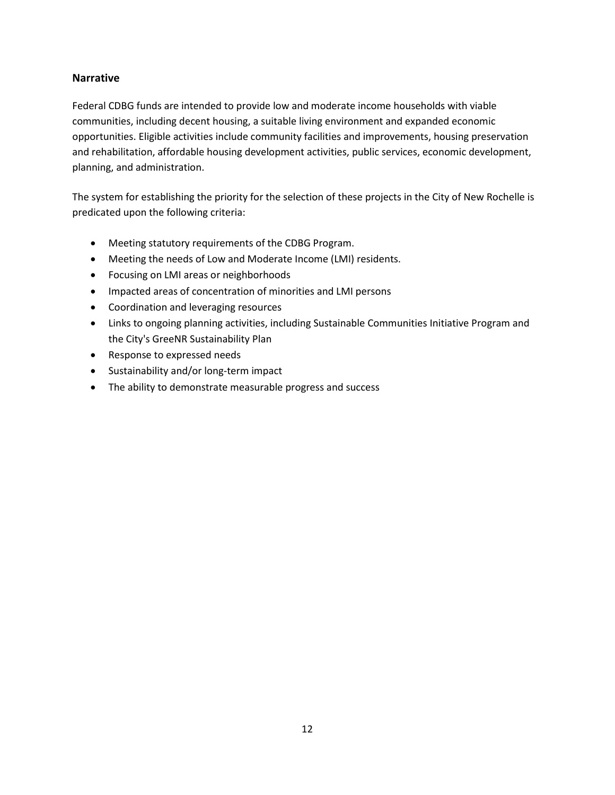#### **Narrative**

Federal CDBG funds are intended to provide low and moderate income households with viable communities, including decent housing, a suitable living environment and expanded economic opportunities. Eligible activities include community facilities and improvements, housing preservation and rehabilitation, affordable housing development activities, public services, economic development, planning, and administration.

The system for establishing the priority for the selection of these projects in the City of New Rochelle is predicated upon the following criteria:

- Meeting statutory requirements of the CDBG Program.
- Meeting the needs of Low and Moderate Income (LMI) residents.
- Focusing on LMI areas or neighborhoods
- Impacted areas of concentration of minorities and LMI persons
- Coordination and leveraging resources
- Links to ongoing planning activities, including Sustainable Communities Initiative Program and the City's GreeNR Sustainability Plan
- Response to expressed needs
- Sustainability and/or long-term impact
- The ability to demonstrate measurable progress and success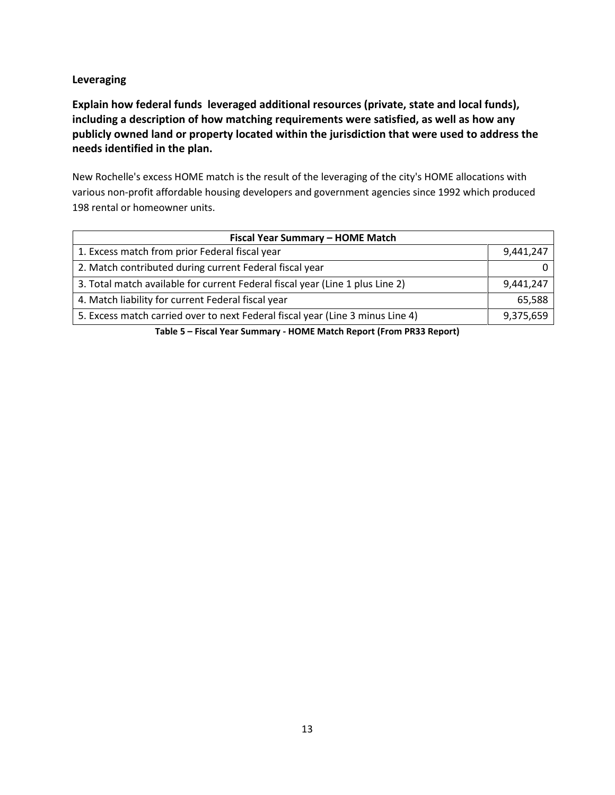#### **Leveraging**

**Explain how federal funds leveraged additional resources (private, state and local funds), including a description of how matching requirements were satisfied, as well as how any publicly owned land or property located within the jurisdiction that were used to address the needs identified in the plan.**

New Rochelle's excess HOME match is the result of the leveraging of the city's HOME allocations with various non-profit affordable housing developers and government agencies since 1992 which produced 198 rental or homeowner units.

| Fiscal Year Summary - HOME Match                                               |           |  |  |  |  |
|--------------------------------------------------------------------------------|-----------|--|--|--|--|
| 1. Excess match from prior Federal fiscal year                                 | 9,441,247 |  |  |  |  |
| 2. Match contributed during current Federal fiscal year                        |           |  |  |  |  |
| 3. Total match available for current Federal fiscal year (Line 1 plus Line 2)  | 9,441,247 |  |  |  |  |
| 4. Match liability for current Federal fiscal year                             | 65,588    |  |  |  |  |
| 5. Excess match carried over to next Federal fiscal year (Line 3 minus Line 4) | 9,375,659 |  |  |  |  |

**Table 5 – Fiscal Year Summary - HOME Match Report (From PR33 Report)**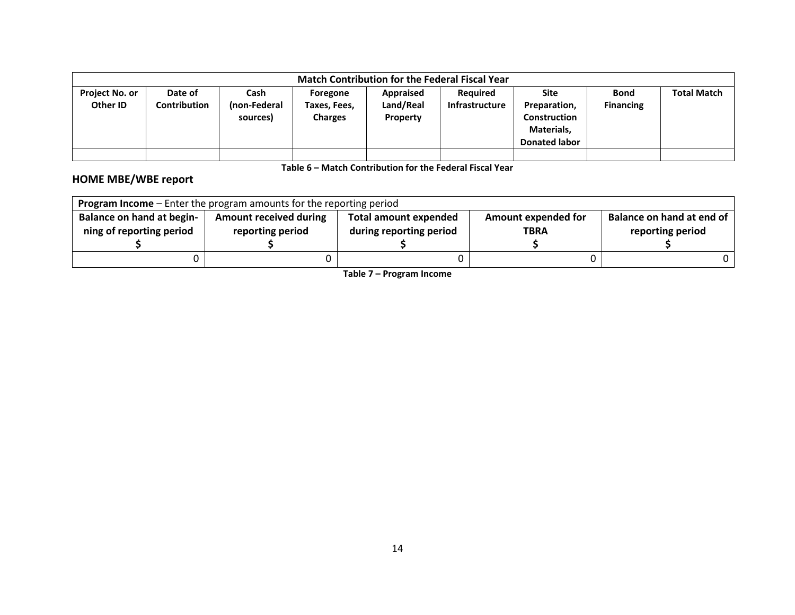|                                   | <b>Match Contribution for the Federal Fiscal Year</b> |                                  |                                            |                                    |                                   |                                                                                          |                                 |                    |  |
|-----------------------------------|-------------------------------------------------------|----------------------------------|--------------------------------------------|------------------------------------|-----------------------------------|------------------------------------------------------------------------------------------|---------------------------------|--------------------|--|
| <b>Project No. or</b><br>Other ID | Date of<br><b>Contribution</b>                        | Cash<br>(non-Federal<br>sources) | Foregone<br>Taxes, Fees,<br><b>Charges</b> | Appraised<br>Land/Real<br>Property | <b>Required</b><br>Infrastructure | <b>Site</b><br>Preparation,<br><b>Construction</b><br>Materials,<br><b>Donated labor</b> | <b>Bond</b><br><b>Financing</b> | <b>Total Match</b> |  |
|                                   |                                                       |                                  |                                            |                                    |                                   |                                                                                          |                                 |                    |  |

**Table 6 – Match Contribution for the Federal Fiscal Year**

# **HOME MBE/WBE report**

| <b>Program Income</b> – Enter the program amounts for the reporting period |                               |                              |                     |                           |  |  |  |  |
|----------------------------------------------------------------------------|-------------------------------|------------------------------|---------------------|---------------------------|--|--|--|--|
| <b>Balance on hand at begin-</b>                                           | <b>Amount received during</b> | <b>Total amount expended</b> | Amount expended for | Balance on hand at end of |  |  |  |  |
| ning of reporting period                                                   | reporting period              | during reporting period      | <b>TBRA</b>         | reporting period          |  |  |  |  |
|                                                                            |                               |                              |                     |                           |  |  |  |  |
|                                                                            |                               |                              |                     |                           |  |  |  |  |

**Table 7 – Program Income**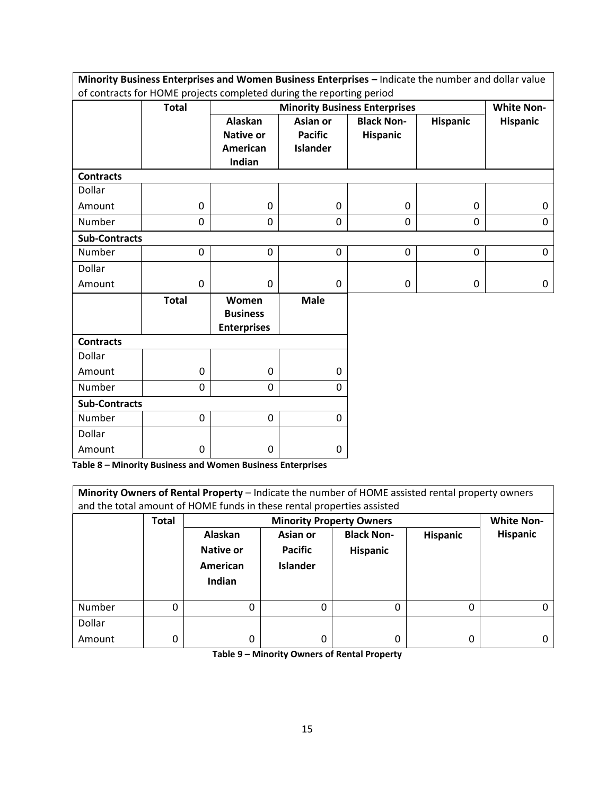| Minority Business Enterprises and Women Business Enterprises - Indicate the number and dollar value |                                                                      |                                                |                 |                                      |                 |                   |  |  |  |
|-----------------------------------------------------------------------------------------------------|----------------------------------------------------------------------|------------------------------------------------|-----------------|--------------------------------------|-----------------|-------------------|--|--|--|
|                                                                                                     | of contracts for HOME projects completed during the reporting period |                                                |                 |                                      |                 |                   |  |  |  |
|                                                                                                     | <b>Total</b>                                                         |                                                |                 | <b>Minority Business Enterprises</b> |                 | <b>White Non-</b> |  |  |  |
|                                                                                                     |                                                                      | Alaskan                                        | Asian or        | <b>Black Non-</b>                    | <b>Hispanic</b> | <b>Hispanic</b>   |  |  |  |
|                                                                                                     |                                                                      | <b>Native or</b>                               | <b>Pacific</b>  | <b>Hispanic</b>                      |                 |                   |  |  |  |
|                                                                                                     |                                                                      | American                                       | <b>Islander</b> |                                      |                 |                   |  |  |  |
|                                                                                                     |                                                                      | Indian                                         |                 |                                      |                 |                   |  |  |  |
| <b>Contracts</b>                                                                                    |                                                                      |                                                |                 |                                      |                 |                   |  |  |  |
| Dollar                                                                                              |                                                                      |                                                |                 |                                      |                 |                   |  |  |  |
| Amount                                                                                              | $\boldsymbol{0}$                                                     | 0                                              | 0               | $\mathbf 0$                          | 0               | 0                 |  |  |  |
| Number                                                                                              | 0                                                                    | $\mathbf 0$                                    | $\Omega$        | $\mathbf 0$                          | $\mathbf 0$     | $\mathbf 0$       |  |  |  |
| <b>Sub-Contracts</b>                                                                                |                                                                      |                                                |                 |                                      |                 |                   |  |  |  |
| <b>Number</b>                                                                                       | 0                                                                    | $\Omega$                                       | 0               | $\mathbf{0}$                         | $\Omega$        | $\Omega$          |  |  |  |
| Dollar                                                                                              |                                                                      |                                                |                 |                                      |                 |                   |  |  |  |
| Amount                                                                                              | $\mathbf 0$                                                          | $\mathbf 0$                                    | 0               | $\mathbf 0$                          | 0               | 0                 |  |  |  |
|                                                                                                     | <b>Total</b>                                                         | Women<br><b>Business</b><br><b>Enterprises</b> | <b>Male</b>     |                                      |                 |                   |  |  |  |
| <b>Contracts</b>                                                                                    |                                                                      |                                                |                 |                                      |                 |                   |  |  |  |
| <b>Dollar</b>                                                                                       |                                                                      |                                                |                 |                                      |                 |                   |  |  |  |
| Amount                                                                                              | 0                                                                    | $\mathbf 0$                                    | $\Omega$        |                                      |                 |                   |  |  |  |
| Number                                                                                              | 0                                                                    | $\mathbf 0$                                    | 0               |                                      |                 |                   |  |  |  |
| <b>Sub-Contracts</b>                                                                                |                                                                      |                                                |                 |                                      |                 |                   |  |  |  |
| Number                                                                                              | $\mathbf 0$                                                          | $\mathbf 0$                                    | $\mathbf 0$     |                                      |                 |                   |  |  |  |
| Dollar                                                                                              |                                                                      |                                                |                 |                                      |                 |                   |  |  |  |
| Amount                                                                                              | 0                                                                    | 0                                              | 0               |                                      |                 |                   |  |  |  |

**Table 8 – Minority Business and Women Business Enterprises**

| Minority Owners of Rental Property - Indicate the number of HOME assisted rental property owners<br>and the total amount of HOME funds in these rental properties assisted |              |                                            |                                               |                                      |                 |                   |
|----------------------------------------------------------------------------------------------------------------------------------------------------------------------------|--------------|--------------------------------------------|-----------------------------------------------|--------------------------------------|-----------------|-------------------|
|                                                                                                                                                                            | <b>Total</b> | <b>Minority Property Owners</b>            |                                               |                                      |                 | <b>White Non-</b> |
|                                                                                                                                                                            |              | Alaskan<br>Native or<br>American<br>Indian | Asian or<br><b>Pacific</b><br><b>Islander</b> | <b>Black Non-</b><br><b>Hispanic</b> | <b>Hispanic</b> | <b>Hispanic</b>   |
| Number                                                                                                                                                                     | 0            | 0                                          | 0                                             | 0                                    | 0               |                   |
| Dollar                                                                                                                                                                     |              |                                            |                                               |                                      |                 |                   |
| Amount                                                                                                                                                                     | 0            | 0                                          | 0                                             | 0                                    | 0               |                   |

**Table 9 – Minority Owners of Rental Property**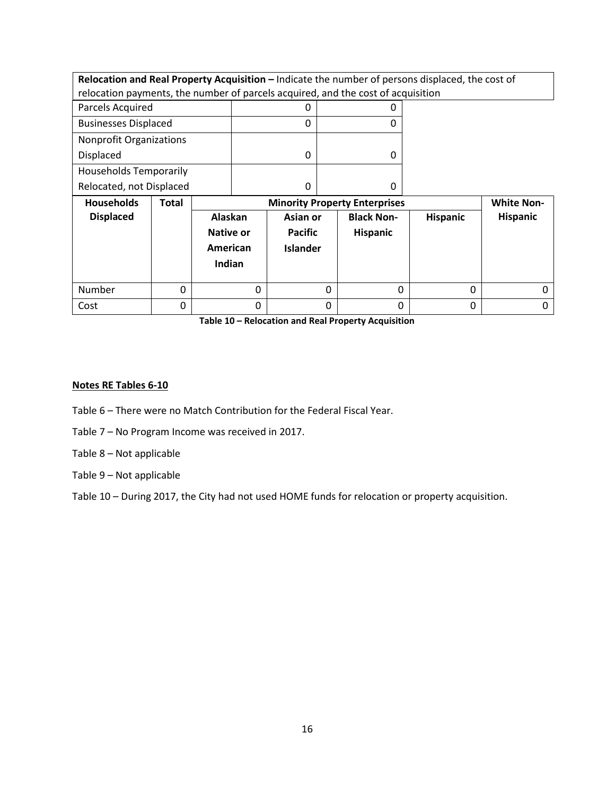| Relocation and Real Property Acquisition - Indicate the number of persons displaced, the cost of |                             |                                                           |                 |          |                   |          |                 |
|--------------------------------------------------------------------------------------------------|-----------------------------|-----------------------------------------------------------|-----------------|----------|-------------------|----------|-----------------|
| relocation payments, the number of parcels acquired, and the cost of acquisition                 |                             |                                                           |                 |          |                   |          |                 |
| Parcels Acquired                                                                                 |                             |                                                           | 0               |          | 0                 |          |                 |
|                                                                                                  | <b>Businesses Displaced</b> |                                                           | 0               |          | 0                 |          |                 |
| <b>Nonprofit Organizations</b>                                                                   |                             |                                                           |                 |          |                   |          |                 |
| Displaced                                                                                        |                             |                                                           | 0               |          | $\Omega$          |          |                 |
| <b>Households Temporarily</b>                                                                    |                             |                                                           |                 |          |                   |          |                 |
| Relocated, not Displaced                                                                         |                             |                                                           | 0               |          | 0                 |          |                 |
|                                                                                                  |                             | <b>White Non-</b><br><b>Minority Property Enterprises</b> |                 |          |                   |          |                 |
| <b>Households</b>                                                                                | Total                       |                                                           |                 |          |                   |          |                 |
| <b>Displaced</b>                                                                                 |                             | Alaskan                                                   | Asian or        |          | <b>Black Non-</b> | Hispanic | <b>Hispanic</b> |
|                                                                                                  |                             | Native or                                                 | Pacific         |          | <b>Hispanic</b>   |          |                 |
|                                                                                                  |                             | American                                                  | <b>Islander</b> |          |                   |          |                 |
|                                                                                                  |                             | Indian                                                    |                 |          |                   |          |                 |
|                                                                                                  |                             |                                                           |                 |          |                   |          |                 |
| Number                                                                                           | $\Omega$                    | $\Omega$                                                  |                 | $\Omega$ | $\Omega$          | 0        |                 |

**Table 10 – Relocation and Real Property Acquisition**

#### **Notes RE Tables 6-10**

- Table 6 There were no Match Contribution for the Federal Fiscal Year.
- Table 7 No Program Income was received in 2017.
- Table 8 Not applicable
- Table 9 Not applicable

Table 10 – During 2017, the City had not used HOME funds for relocation or property acquisition.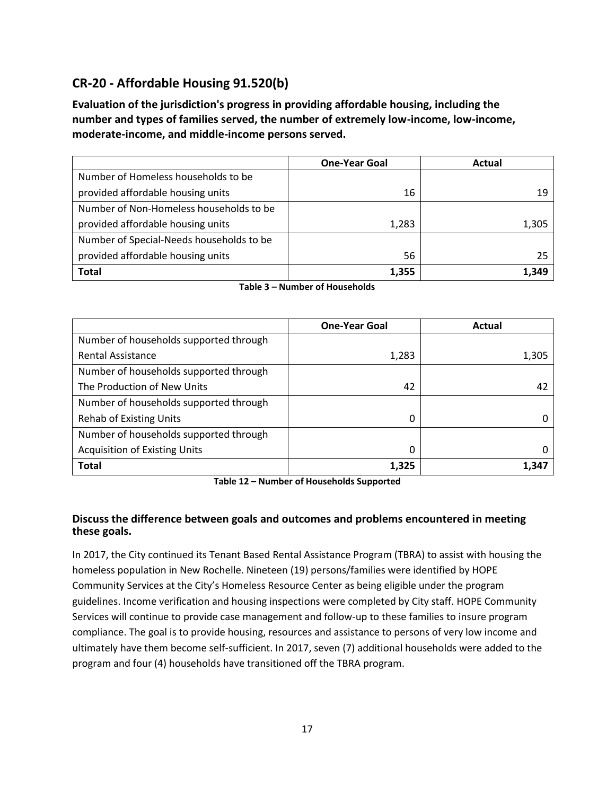# **CR-20 - Affordable Housing 91.520(b)**

**Evaluation of the jurisdiction's progress in providing affordable housing, including the number and types of families served, the number of extremely low-income, low-income, moderate-income, and middle-income persons served.**

|                                          | <b>One-Year Goal</b> | Actual |
|------------------------------------------|----------------------|--------|
| Number of Homeless households to be      |                      |        |
| provided affordable housing units        | 16                   | 19     |
| Number of Non-Homeless households to be  |                      |        |
| provided affordable housing units        | 1,283                | 1,305  |
| Number of Special-Needs households to be |                      |        |
| provided affordable housing units        | 56                   | 25     |
| <b>Total</b>                             | 1,355                | 1,349  |

|  | Table 3 – Number of Households |
|--|--------------------------------|
|--|--------------------------------|

|                                        | <b>One-Year Goal</b> | Actual |
|----------------------------------------|----------------------|--------|
| Number of households supported through |                      |        |
| <b>Rental Assistance</b>               | 1,283                | 1,305  |
| Number of households supported through |                      |        |
| The Production of New Units            | 42                   | 42     |
| Number of households supported through |                      |        |
| <b>Rehab of Existing Units</b>         | 0                    |        |
| Number of households supported through |                      |        |
| <b>Acquisition of Existing Units</b>   | 0                    |        |
| <b>Total</b>                           | 1.325                | 1.347  |

**Table 12 – Number of Households Supported**

#### **Discuss the difference between goals and outcomes and problems encountered in meeting these goals.**

In 2017, the City continued its Tenant Based Rental Assistance Program (TBRA) to assist with housing the homeless population in New Rochelle. Nineteen (19) persons/families were identified by HOPE Community Services at the City's Homeless Resource Center as being eligible under the program guidelines. Income verification and housing inspections were completed by City staff. HOPE Community Services will continue to provide case management and follow-up to these families to insure program compliance. The goal is to provide housing, resources and assistance to persons of very low income and ultimately have them become self-sufficient. In 2017, seven (7) additional households were added to the program and four (4) households have transitioned off the TBRA program.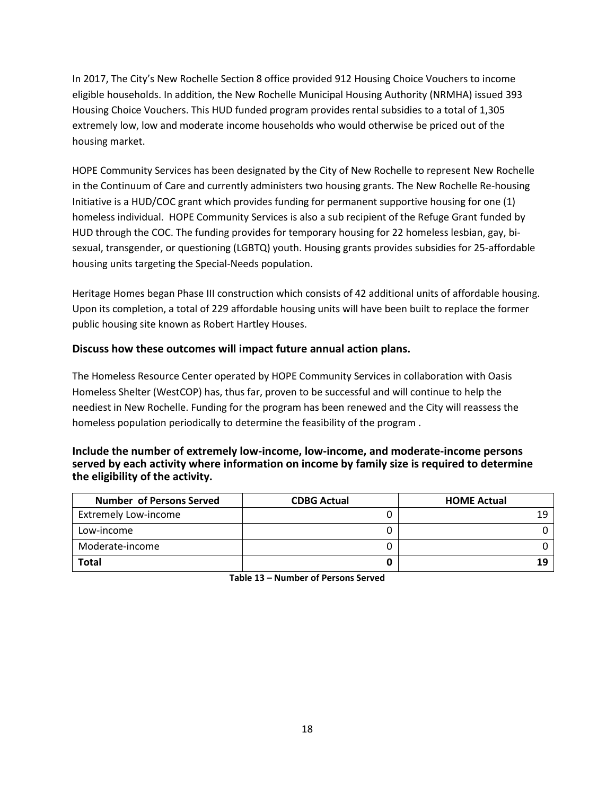In 2017, The City's New Rochelle Section 8 office provided 912 Housing Choice Vouchers to income eligible households. In addition, the New Rochelle Municipal Housing Authority (NRMHA) issued 393 Housing Choice Vouchers. This HUD funded program provides rental subsidies to a total of 1,305 extremely low, low and moderate income households who would otherwise be priced out of the housing market.

HOPE Community Services has been designated by the City of New Rochelle to represent New Rochelle in the Continuum of Care and currently administers two housing grants. The New Rochelle Re-housing Initiative is a HUD/COC grant which provides funding for permanent supportive housing for one (1) homeless individual. HOPE Community Services is also a sub recipient of the Refuge Grant funded by HUD through the COC. The funding provides for temporary housing for 22 homeless lesbian, gay, bisexual, transgender, or questioning (LGBTQ) youth. Housing grants provides subsidies for 25-affordable housing units targeting the Special-Needs population.

Heritage Homes began Phase III construction which consists of 42 additional units of affordable housing. Upon its completion, a total of 229 affordable housing units will have been built to replace the former public housing site known as Robert Hartley Houses.

#### **Discuss how these outcomes will impact future annual action plans.**

The Homeless Resource Center operated by HOPE Community Services in collaboration with Oasis Homeless Shelter (WestCOP) has, thus far, proven to be successful and will continue to help the neediest in New Rochelle. Funding for the program has been renewed and the City will reassess the homeless population periodically to determine the feasibility of the program .

#### **Include the number of extremely low-income, low-income, and moderate-income persons served by each activity where information on income by family size is required to determine the eligibility of the activity.**

| <b>Number of Persons Served</b> | <b>CDBG Actual</b> | <b>HOME Actual</b> |
|---------------------------------|--------------------|--------------------|
| <b>Extremely Low-income</b>     |                    |                    |
| Low-income                      |                    |                    |
| Moderate-income                 |                    |                    |
| <b>Total</b>                    |                    |                    |

**Table 13 – Number of Persons Served**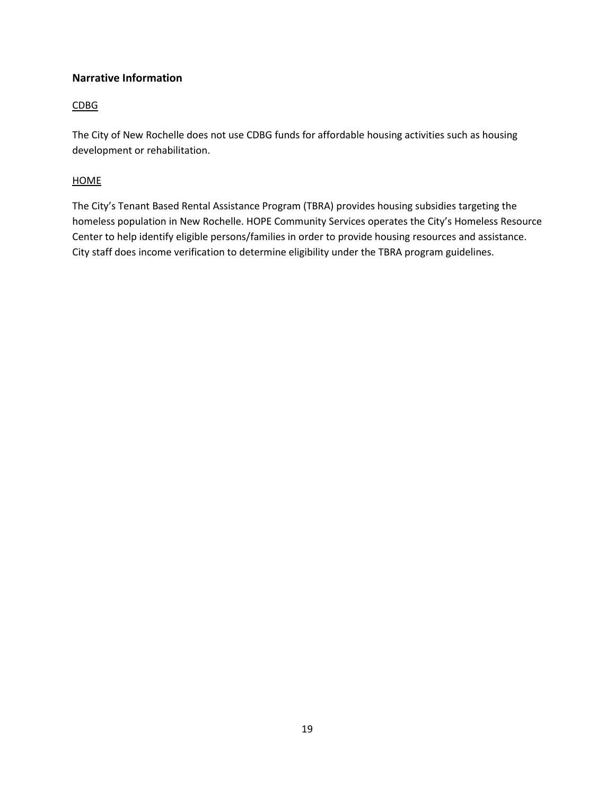#### **Narrative Information**

#### CDBG

The City of New Rochelle does not use CDBG funds for affordable housing activities such as housing development or rehabilitation.

#### **HOME**

The City's Tenant Based Rental Assistance Program (TBRA) provides housing subsidies targeting the homeless population in New Rochelle. HOPE Community Services operates the City's Homeless Resource Center to help identify eligible persons/families in order to provide housing resources and assistance. City staff does income verification to determine eligibility under the TBRA program guidelines.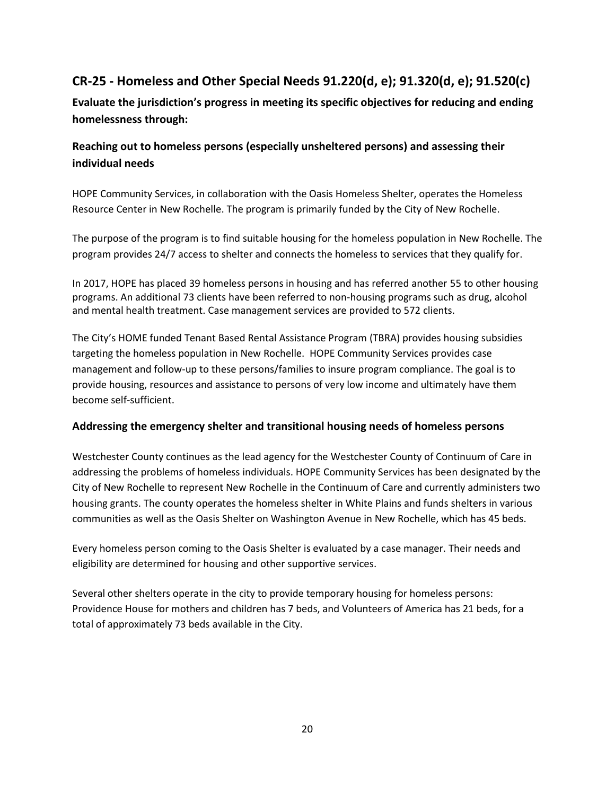# **CR-25 - Homeless and Other Special Needs 91.220(d, e); 91.320(d, e); 91.520(c)**

**Evaluate the jurisdiction's progress in meeting its specific objectives for reducing and ending homelessness through:**

# **Reaching out to homeless persons (especially unsheltered persons) and assessing their individual needs**

HOPE Community Services, in collaboration with the Oasis Homeless Shelter, operates the Homeless Resource Center in New Rochelle. The program is primarily funded by the City of New Rochelle.

The purpose of the program is to find suitable housing for the homeless population in New Rochelle. The program provides 24/7 access to shelter and connects the homeless to services that they qualify for.

In 2017, HOPE has placed 39 homeless persons in housing and has referred another 55 to other housing programs. An additional 73 clients have been referred to non-housing programs such as drug, alcohol and mental health treatment. Case management services are provided to 572 clients.

The City's HOME funded Tenant Based Rental Assistance Program (TBRA) provides housing subsidies targeting the homeless population in New Rochelle. HOPE Community Services provides case management and follow-up to these persons/families to insure program compliance. The goal is to provide housing, resources and assistance to persons of very low income and ultimately have them become self-sufficient.

#### **Addressing the emergency shelter and transitional housing needs of homeless persons**

Westchester County continues as the lead agency for the Westchester County of Continuum of Care in addressing the problems of homeless individuals. HOPE Community Services has been designated by the City of New Rochelle to represent New Rochelle in the Continuum of Care and currently administers two housing grants. The county operates the homeless shelter in White Plains and funds shelters in various communities as well as the Oasis Shelter on Washington Avenue in New Rochelle, which has 45 beds.

Every homeless person coming to the Oasis Shelter is evaluated by a case manager. Their needs and eligibility are determined for housing and other supportive services.

Several other shelters operate in the city to provide temporary housing for homeless persons: Providence House for mothers and children has 7 beds, and Volunteers of America has 21 beds, for a total of approximately 73 beds available in the City.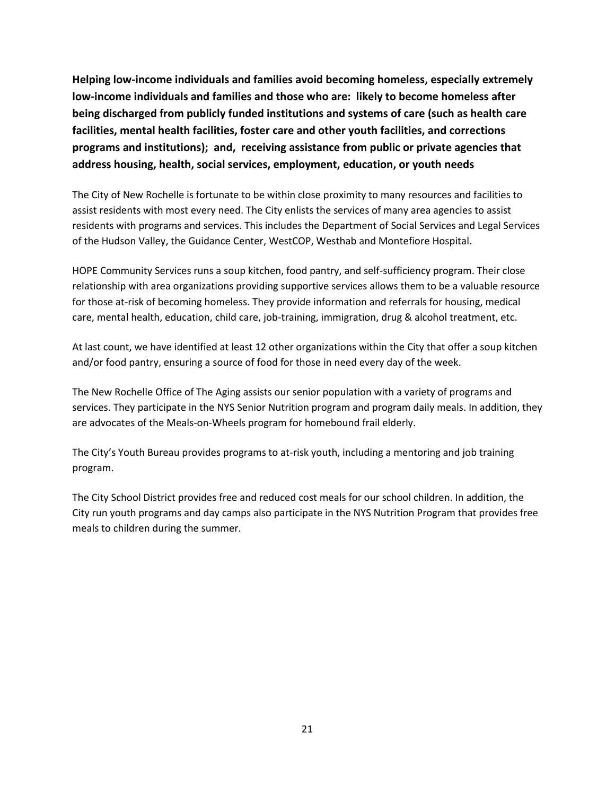**Helping low-income individuals and families avoid becoming homeless, especially extremely low-income individuals and families and those who are: likely to become homeless after being discharged from publicly funded institutions and systems of care (such as health care facilities, mental health facilities, foster care and other youth facilities, and corrections programs and institutions); and, receiving assistance from public or private agencies that address housing, health, social services, employment, education, or youth needs**

The City of New Rochelle is fortunate to be within close proximity to many resources and facilities to assist residents with most every need. The City enlists the services of many area agencies to assist residents with programs and services. This includes the Department of Social Services and Legal Services of the Hudson Valley, the Guidance Center, WestCOP, Westhab and Montefiore Hospital.

HOPE Community Services runs a soup kitchen, food pantry, and self-sufficiency program. Their close relationship with area organizations providing supportive services allows them to be a valuable resource for those at-risk of becoming homeless. They provide information and referrals for housing, medical care, mental health, education, child care, job-training, immigration, drug & alcohol treatment, etc.

At last count, we have identified at least 12 other organizations within the City that offer a soup kitchen and/or food pantry, ensuring a source of food for those in need every day of the week.

The New Rochelle Office of The Aging assists our senior population with a variety of programs and services. They participate in the NYS Senior Nutrition program and program daily meals. In addition, they are advocates of the Meals-on-Wheels program for homebound frail elderly.

The City's Youth Bureau provides programs to at-risk youth, including a mentoring and job training program.

The City School District provides free and reduced cost meals for our school children. In addition, the City run youth programs and day camps also participate in the NYS Nutrition Program that provides free meals to children during the summer.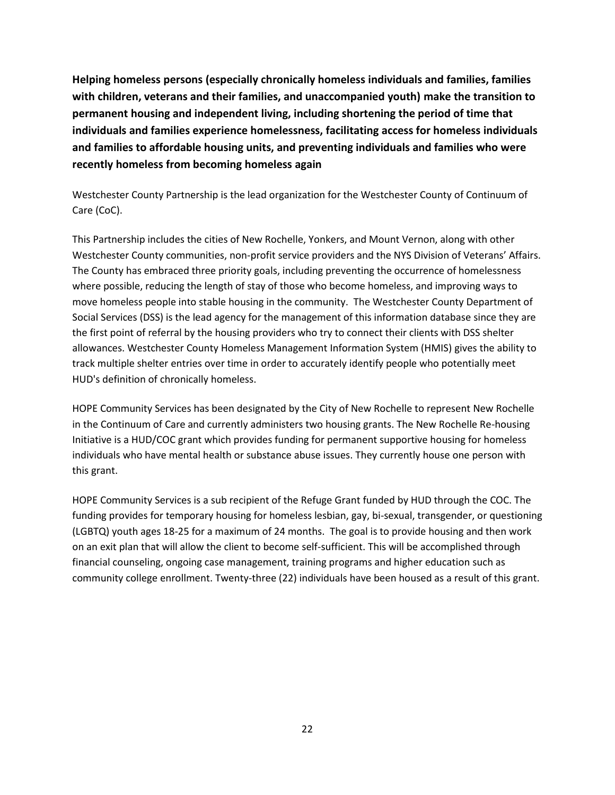**Helping homeless persons (especially chronically homeless individuals and families, families with children, veterans and their families, and unaccompanied youth) make the transition to permanent housing and independent living, including shortening the period of time that individuals and families experience homelessness, facilitating access for homeless individuals and families to affordable housing units, and preventing individuals and families who were recently homeless from becoming homeless again**

Westchester County Partnership is the lead organization for the Westchester County of Continuum of Care (CoC).

This Partnership includes the cities of New Rochelle, Yonkers, and Mount Vernon, along with other Westchester County communities, non-profit service providers and the NYS Division of Veterans' Affairs. The County has embraced three priority goals, including preventing the occurrence of homelessness where possible, reducing the length of stay of those who become homeless, and improving ways to move homeless people into stable housing in the community. The Westchester County Department of Social Services (DSS) is the lead agency for the management of this information database since they are the first point of referral by the housing providers who try to connect their clients with DSS shelter allowances. Westchester County Homeless Management Information System (HMIS) gives the ability to track multiple shelter entries over time in order to accurately identify people who potentially meet HUD's definition of chronically homeless.

HOPE Community Services has been designated by the City of New Rochelle to represent New Rochelle in the Continuum of Care and currently administers two housing grants. The New Rochelle Re-housing Initiative is a HUD/COC grant which provides funding for permanent supportive housing for homeless individuals who have mental health or substance abuse issues. They currently house one person with this grant.

HOPE Community Services is a sub recipient of the Refuge Grant funded by HUD through the COC. The funding provides for temporary housing for homeless lesbian, gay, bi-sexual, transgender, or questioning (LGBTQ) youth ages 18-25 for a maximum of 24 months. The goal is to provide housing and then work on an exit plan that will allow the client to become self-sufficient. This will be accomplished through financial counseling, ongoing case management, training programs and higher education such as community college enrollment. Twenty-three (22) individuals have been housed as a result of this grant.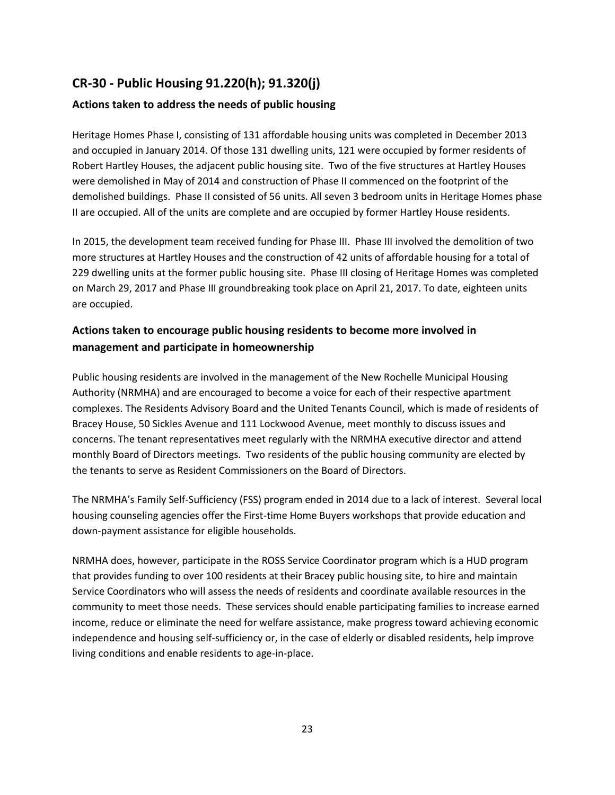# **CR-30 - Public Housing 91.220(h); 91.320(j)**

#### **Actions taken to address the needs of public housing**

Heritage Homes Phase I, consisting of 131 affordable housing units was completed in December 2013 and occupied in January 2014. Of those 131 dwelling units, 121 were occupied by former residents of Robert Hartley Houses, the adjacent public housing site. Two of the five structures at Hartley Houses were demolished in May of 2014 and construction of Phase II commenced on the footprint of the demolished buildings. Phase II consisted of 56 units. All seven 3 bedroom units in Heritage Homes phase II are occupied. All of the units are complete and are occupied by former Hartley House residents.

In 2015, the development team received funding for Phase III. Phase III involved the demolition of two more structures at Hartley Houses and the construction of 42 units of affordable housing for a total of 229 dwelling units at the former public housing site. Phase III closing of Heritage Homes was completed on March 29, 2017 and Phase III groundbreaking took place on April 21, 2017. To date, eighteen units are occupied.

### **Actions taken to encourage public housing residents to become more involved in management and participate in homeownership**

Public housing residents are involved in the management of the New Rochelle Municipal Housing Authority (NRMHA) and are encouraged to become a voice for each of their respective apartment complexes. The Residents Advisory Board and the United Tenants Council, which is made of residents of Bracey House, 50 Sickles Avenue and 111 Lockwood Avenue, meet monthly to discuss issues and concerns. The tenant representatives meet regularly with the NRMHA executive director and attend monthly Board of Directors meetings. Two residents of the public housing community are elected by the tenants to serve as Resident Commissioners on the Board of Directors.

The NRMHA's Family Self-Sufficiency (FSS) program ended in 2014 due to a lack of interest. Several local housing counseling agencies offer the First-time Home Buyers workshops that provide education and down-payment assistance for eligible households.

NRMHA does, however, participate in the ROSS Service Coordinator program which is a HUD program that provides funding to over 100 residents at their Bracey public housing site, to hire and maintain Service Coordinators who will assess the needs of residents and coordinate available resources in the community to meet those needs. These services should enable participating families to increase earned income, reduce or eliminate the need for welfare assistance, make progress toward achieving economic independence and housing self-sufficiency or, in the case of elderly or disabled residents, help improve living conditions and enable residents to age-in-place.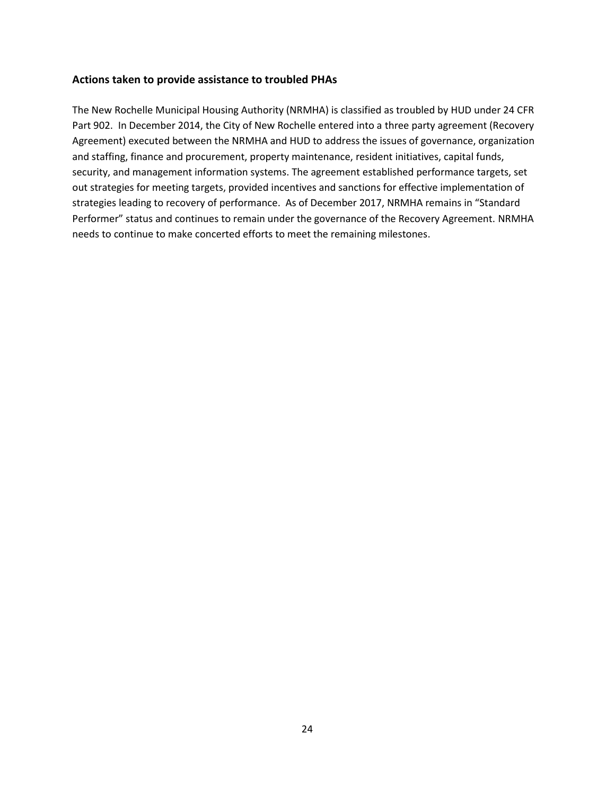#### **Actions taken to provide assistance to troubled PHAs**

The New Rochelle Municipal Housing Authority (NRMHA) is classified as troubled by HUD under 24 CFR Part 902. In December 2014, the City of New Rochelle entered into a three party agreement (Recovery Agreement) executed between the NRMHA and HUD to address the issues of governance, organization and staffing, finance and procurement, property maintenance, resident initiatives, capital funds, security, and management information systems. The agreement established performance targets, set out strategies for meeting targets, provided incentives and sanctions for effective implementation of strategies leading to recovery of performance. As of December 2017, NRMHA remains in "Standard Performer" status and continues to remain under the governance of the Recovery Agreement. NRMHA needs to continue to make concerted efforts to meet the remaining milestones.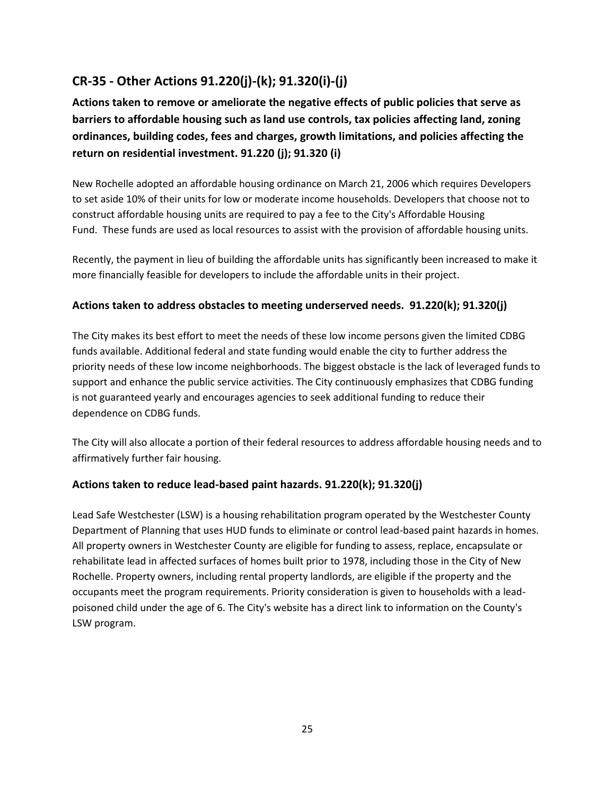# **CR-35 - Other Actions 91.220(j)-(k); 91.320(i)-(j)**

**Actions taken to remove or ameliorate the negative effects of public policies that serve as barriers to affordable housing such as land use controls, tax policies affecting land, zoning ordinances, building codes, fees and charges, growth limitations, and policies affecting the return on residential investment. 91.220 (j); 91.320 (i)**

New Rochelle adopted an affordable housing ordinance on March 21, 2006 which requires Developers to set aside 10% of their units for low or moderate income households. Developers that choose not to construct affordable housing units are required to pay a fee to the City's Affordable Housing Fund. These funds are used as local resources to assist with the provision of affordable housing units.

Recently, the payment in lieu of building the affordable units has significantly been increased to make it more financially feasible for developers to include the affordable units in their project.

#### **Actions taken to address obstacles to meeting underserved needs. 91.220(k); 91.320(j)**

The City makes its best effort to meet the needs of these low income persons given the limited CDBG funds available. Additional federal and state funding would enable the city to further address the priority needs of these low income neighborhoods. The biggest obstacle is the lack of leveraged funds to support and enhance the public service activities. The City continuously emphasizes that CDBG funding is not guaranteed yearly and encourages agencies to seek additional funding to reduce their dependence on CDBG funds.

The City will also allocate a portion of their federal resources to address affordable housing needs and to affirmatively further fair housing.

#### **Actions taken to reduce lead-based paint hazards. 91.220(k); 91.320(j)**

Lead Safe Westchester (LSW) is a housing rehabilitation program operated by the Westchester County Department of Planning that uses HUD funds to eliminate or control lead-based paint hazards in homes. All property owners in Westchester County are eligible for funding to assess, replace, encapsulate or rehabilitate lead in affected surfaces of homes built prior to 1978, including those in the City of New Rochelle. Property owners, including rental property landlords, are eligible if the property and the occupants meet the program requirements. Priority consideration is given to households with a leadpoisoned child under the age of 6. The City's website has a direct link to information on the County's LSW program.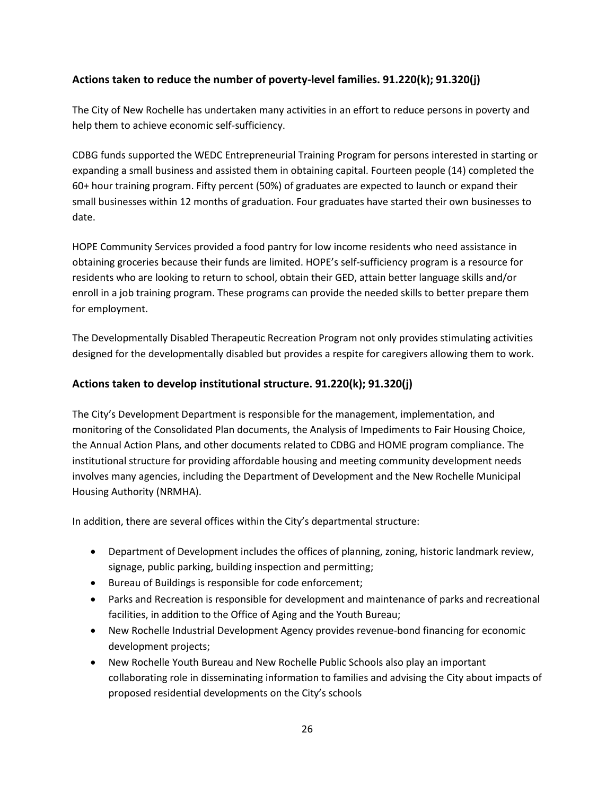#### **Actions taken to reduce the number of poverty-level families. 91.220(k); 91.320(j)**

The City of New Rochelle has undertaken many activities in an effort to reduce persons in poverty and help them to achieve economic self-sufficiency.

CDBG funds supported the WEDC Entrepreneurial Training Program for persons interested in starting or expanding a small business and assisted them in obtaining capital. Fourteen people (14) completed the 60+ hour training program. Fifty percent (50%) of graduates are expected to launch or expand their small businesses within 12 months of graduation. Four graduates have started their own businesses to date.

HOPE Community Services provided a food pantry for low income residents who need assistance in obtaining groceries because their funds are limited. HOPE's self-sufficiency program is a resource for residents who are looking to return to school, obtain their GED, attain better language skills and/or enroll in a job training program. These programs can provide the needed skills to better prepare them for employment.

The Developmentally Disabled Therapeutic Recreation Program not only provides stimulating activities designed for the developmentally disabled but provides a respite for caregivers allowing them to work.

#### **Actions taken to develop institutional structure. 91.220(k); 91.320(j)**

The City's Development Department is responsible for the management, implementation, and monitoring of the Consolidated Plan documents, the Analysis of Impediments to Fair Housing Choice, the Annual Action Plans, and other documents related to CDBG and HOME program compliance. The institutional structure for providing affordable housing and meeting community development needs involves many agencies, including the Department of Development and the New Rochelle Municipal Housing Authority (NRMHA).

In addition, there are several offices within the City's departmental structure:

- Department of Development includes the offices of planning, zoning, historic landmark review, signage, public parking, building inspection and permitting;
- Bureau of Buildings is responsible for code enforcement;
- Parks and Recreation is responsible for development and maintenance of parks and recreational facilities, in addition to the Office of Aging and the Youth Bureau;
- New Rochelle Industrial Development Agency provides revenue-bond financing for economic development projects;
- New Rochelle Youth Bureau and New Rochelle Public Schools also play an important collaborating role in disseminating information to families and advising the City about impacts of proposed residential developments on the City's schools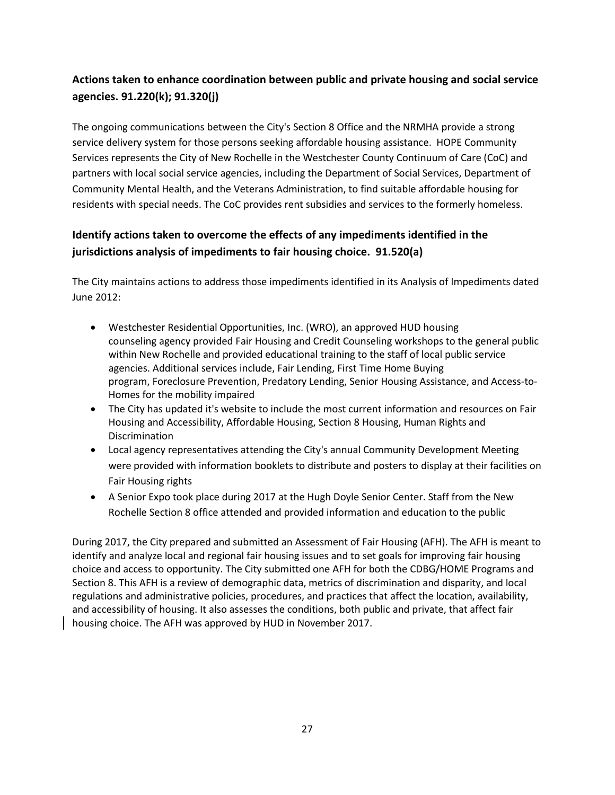# **Actions taken to enhance coordination between public and private housing and social service agencies. 91.220(k); 91.320(j)**

The ongoing communications between the City's Section 8 Office and the NRMHA provide a strong service delivery system for those persons seeking affordable housing assistance. HOPE Community Services represents the City of New Rochelle in the Westchester County Continuum of Care (CoC) and partners with local social service agencies, including the Department of Social Services, Department of Community Mental Health, and the Veterans Administration, to find suitable affordable housing for residents with special needs. The CoC provides rent subsidies and services to the formerly homeless.

# **Identify actions taken to overcome the effects of any impediments identified in the jurisdictions analysis of impediments to fair housing choice. 91.520(a)**

The City maintains actions to address those impediments identified in its Analysis of Impediments dated June 2012:

- Westchester Residential Opportunities, Inc. (WRO), an approved HUD housing counseling agency provided Fair Housing and Credit Counseling workshops to the general public within New Rochelle and provided educational training to the staff of local public service agencies. Additional services include, Fair Lending, First Time Home Buying program, Foreclosure Prevention, Predatory Lending, Senior Housing Assistance, and Access-to-Homes for the mobility impaired
- The City has updated it's website to include the most current information and resources on Fair Housing and Accessibility, Affordable Housing, Section 8 Housing, Human Rights and Discrimination
- Local agency representatives attending the City's annual Community Development Meeting were provided with information booklets to distribute and posters to display at their facilities on Fair Housing rights
- A Senior Expo took place during 2017 at the Hugh Doyle Senior Center. Staff from the New Rochelle Section 8 office attended and provided information and education to the public

During 2017, the City prepared and submitted an Assessment of Fair Housing (AFH). The AFH is meant to identify and analyze local and regional fair housing issues and to set goals for improving fair housing choice and access to opportunity. The City submitted one AFH for both the CDBG/HOME Programs and Section 8. This AFH is a review of demographic data, metrics of discrimination and disparity, and local regulations and administrative policies, procedures, and practices that affect the location, availability, and accessibility of housing. It also assesses the conditions, both public and private, that affect fair housing choice. The AFH was approved by HUD in November 2017.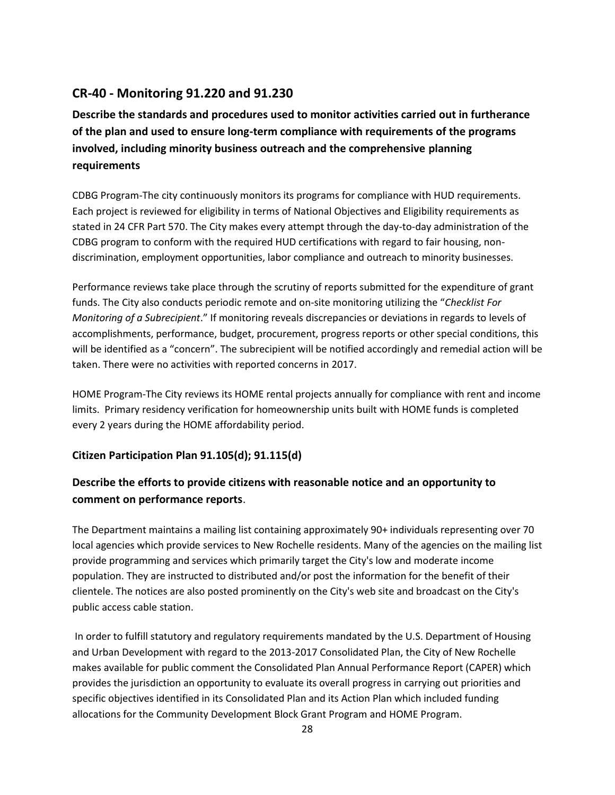# **CR-40 - Monitoring 91.220 and 91.230**

**Describe the standards and procedures used to monitor activities carried out in furtherance of the plan and used to ensure long-term compliance with requirements of the programs involved, including minority business outreach and the comprehensive planning requirements**

CDBG Program-The city continuously monitors its programs for compliance with HUD requirements. Each project is reviewed for eligibility in terms of National Objectives and Eligibility requirements as stated in 24 CFR Part 570. The City makes every attempt through the day-to-day administration of the CDBG program to conform with the required HUD certifications with regard to fair housing, nondiscrimination, employment opportunities, labor compliance and outreach to minority businesses.

Performance reviews take place through the scrutiny of reports submitted for the expenditure of grant funds. The City also conducts periodic remote and on-site monitoring utilizing the "*Checklist For Monitoring of a Subrecipient*." If monitoring reveals discrepancies or deviations in regards to levels of accomplishments, performance, budget, procurement, progress reports or other special conditions, this will be identified as a "concern". The subrecipient will be notified accordingly and remedial action will be taken. There were no activities with reported concerns in 2017.

HOME Program-The City reviews its HOME rental projects annually for compliance with rent and income limits. Primary residency verification for homeownership units built with HOME funds is completed every 2 years during the HOME affordability period.

### **Citizen Participation Plan 91.105(d); 91.115(d)**

# **Describe the efforts to provide citizens with reasonable notice and an opportunity to comment on performance reports**.

The Department maintains a mailing list containing approximately 90+ individuals representing over 70 local agencies which provide services to New Rochelle residents. Many of the agencies on the mailing list provide programming and services which primarily target the City's low and moderate income population. They are instructed to distributed and/or post the information for the benefit of their clientele. The notices are also posted prominently on the City's web site and broadcast on the City's public access cable station.

In order to fulfill statutory and regulatory requirements mandated by the U.S. Department of Housing and Urban Development with regard to the 2013-2017 Consolidated Plan, the City of New Rochelle makes available for public comment the Consolidated Plan Annual Performance Report (CAPER) which provides the jurisdiction an opportunity to evaluate its overall progress in carrying out priorities and specific objectives identified in its Consolidated Plan and its Action Plan which included funding allocations for the Community Development Block Grant Program and HOME Program.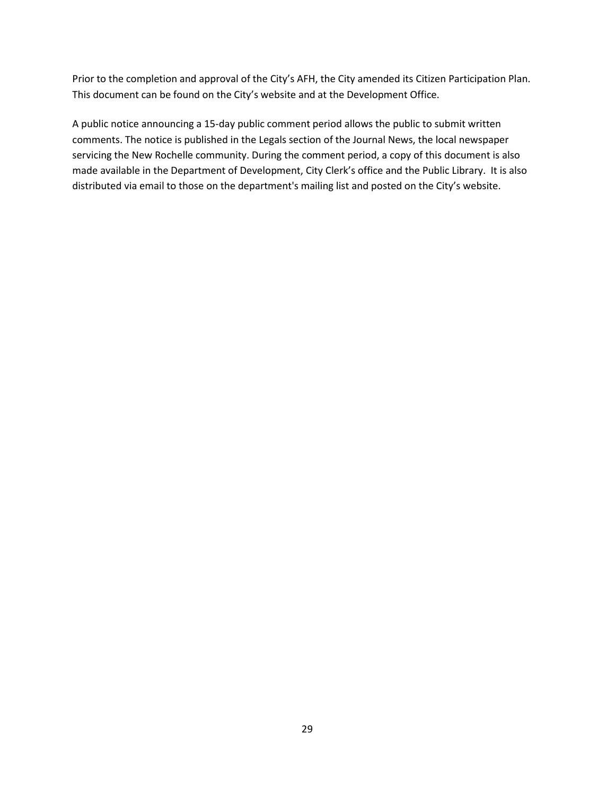Prior to the completion and approval of the City's AFH, the City amended its Citizen Participation Plan. This document can be found on the City's website and at the Development Office.

A public notice announcing a 15-day public comment period allows the public to submit written comments. The notice is published in the Legals section of the Journal News, the local newspaper servicing the New Rochelle community. During the comment period, a copy of this document is also made available in the Department of Development, City Clerk's office and the Public Library. It is also distributed via email to those on the department's mailing list and posted on the City's website.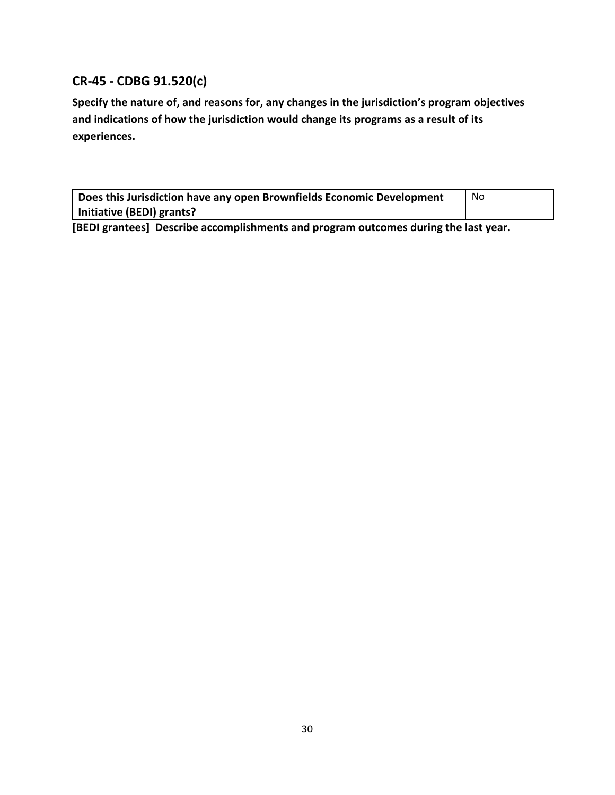# **CR-45 - CDBG 91.520(c)**

**Specify the nature of, and reasons for, any changes in the jurisdiction's program objectives and indications of how the jurisdiction would change its programs as a result of its experiences.**

| Does this Jurisdiction have any open Brownfields Economic Development | <b>No</b> |  |  |  |  |
|-----------------------------------------------------------------------|-----------|--|--|--|--|
| Initiative (BEDI) grants?                                             |           |  |  |  |  |
| $\sim -1$                                                             |           |  |  |  |  |

**[BEDI grantees] Describe accomplishments and program outcomes during the last year.**